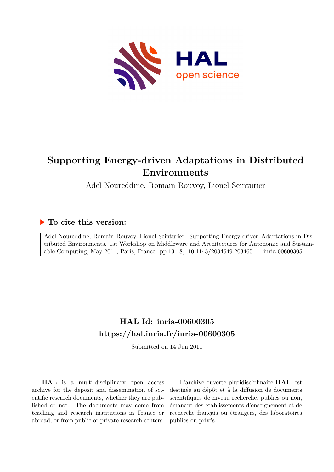

# **Supporting Energy-driven Adaptations in Distributed Environments**

Adel Noureddine, Romain Rouvoy, Lionel Seinturier

## **To cite this version:**

Adel Noureddine, Romain Rouvoy, Lionel Seinturier. Supporting Energy-driven Adaptations in Distributed Environments. 1st Workshop on Middleware and Architectures for Autonomic and Sustainable Computing, May 2011, Paris, France. pp.13-18, 10.1145/2034649.2034651. inria-00600305

## **HAL Id: inria-00600305 <https://hal.inria.fr/inria-00600305>**

Submitted on 14 Jun 2011

**HAL** is a multi-disciplinary open access archive for the deposit and dissemination of scientific research documents, whether they are published or not. The documents may come from teaching and research institutions in France or abroad, or from public or private research centers.

L'archive ouverte pluridisciplinaire **HAL**, est destinée au dépôt et à la diffusion de documents scientifiques de niveau recherche, publiés ou non, émanant des établissements d'enseignement et de recherche français ou étrangers, des laboratoires publics ou privés.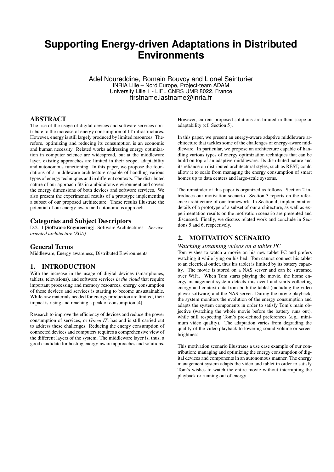## **Supporting Energy-driven Adaptations in Distributed Environments**

Adel Noureddine, Romain Rouvoy and Lionel Seinturier INRIA Lille – Nord Europe, Project-team ADAM University Lille 1 - LIFL CNRS UMR 8022, France firstname.lastname@inria.fr

## ABSTRACT

The rise of the usage of digital devices and software services contribute to the increase of energy consumption of IT infrastructures. However, energy is still largely produced by limited resources. Therefore, optimizing and reducing its consumption is an economic and human necessity. Related works addressing energy optimization in computer science are widespread, but at the middleware layer, existing approaches are limited in their scope, adaptability and autonomous functioning. In this paper, we propose the foundations of a middleware architecture capable of handling various types of energy techniques and in different contexts. The distributed nature of our approach fits in a ubiquitous environment and covers the energy dimensions of both devices and software services. We also present the experimental results of a prototype implementing a subset of our proposed architecture. These results illustrate the potential of our energy-aware and autonomous approach.

### Categories and Subject Descriptors

D.2.11 [Software Engineering]: Software Architectures—*Serviceoriented architecture (SOA)*

#### General Terms

Middleware, Energy awareness, Distributed Environments

## 1. INTRODUCTION

With the increase in the usage of digital devices (smartphones, tablets, televisions), and software services *in the cloud* that require important processing and memory resources, energy consumption of these devices and services is starting to become unsustainable. While raw materials needed for energy production are limited, their impact is rising and reaching a peak of consumption [4].

Research to improve the efficiency of devices and reduce the power consumption of services, or *Green IT*, has and is still carried out to address these challenges. Reducing the energy consumption of connected devices and computers requires a comprehensive view of the different layers of the system. The middleware layer is, thus, a good candidate for hosting energy-aware approaches and solutions.

However, current proposed solutions are limited in their scope or adaptability (cf. Section 5).

In this paper, we present an energy-aware adaptive middleware architecture that tackles some of the challenges of energy-aware middleware. In particular, we propose an architecture capable of handling various types of energy optimization techniques that can be build on top of an adaptive middleware. Its distributed nature and its reliance on distributed architectural styles, such as REST, could allow it to scale from managing the energy consumption of smart homes up to data centers and large-scale systems.

The remainder of this paper is organized as follows. Section 2 introduces our motivation scenario. Section 3 reports on the reference architecture of our framework. In Section 4, implementation details of a prototype of a subset of our architecture, as well as experimentation results on the motivation scenario are presented and discussed. Finally, we discuss related work and conclude in Sections 5 and 6, respectively.

## 2. MOTIVATION SCENARIO

#### *Watching streaming videos on a tablet PC*

Tom wishes to watch a movie on his new tablet PC and prefers watching it while lying on his bed. Tom cannot connect his tablet to an electrical outlet, thus his tablet is limited by its battery capacity. The movie is stored on a NAS server and can be streamed over WiFi. When Tom starts playing the movie, the home energy management system detects this event and starts collecting energy and context data from both the tablet (including the video player software) and the NAS server. During the movie playback, the system monitors the evolution of the energy consumption and adapts the system components in order to satisfy Tom's main objective (watching the whole movie before the battery runs out), while still respecting Tom's pre-defined preferences (*e.g.*, minimum video quality). The adaptation varies from degrading the quality of the video playback to lowering sound volume or screen brightness.

This motivation scenario illustrates a use case example of our contribution: managing and optimizing the energy consumption of digital devices and components in an autonomous manner. The energy management system adapts the video and tablet in order to satisfy Tom's wishes to watch the entire movie without interrupting the playback or running out of energy.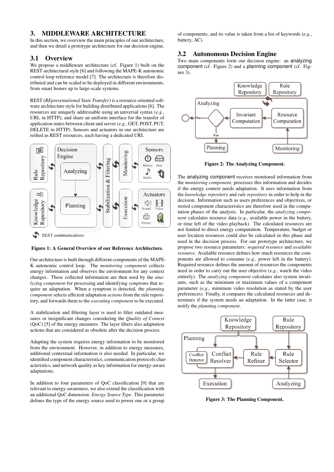## 3. MIDDLEWARE ARCHITECTURE

In this section, we overview the main principles of our architecture, and then we detail a prototype architecture for our decision engine.

## 3.1 Overview

We propose a middleware architecture (cf. Figure 1) built on the REST architectural style [6] and following the MAPE-K autonomic control loop reference model [7]. The architecture is therefore distributed and can be scaled to be deployed in different environments, from smart homes up to large-scale systems.

REST (*REpresentational State Transfer*) is a resource-oriented software architecture style for building distributed applications [6]. The resources are uniquely addressable using an universal syntax (*e.g.*, URL in HTTP), and share an uniform interface for the transfer of application states between client and server (*e.g.*, GET, POST, PUT, DELETE in HTTP). Sensors and actuators in our architecture are reified as REST resources, each having a dedicated URI.



 $\boldsymbol{\mathcal{L}}$ REST communications

#### Figure 1: A General Overview of our Reference Architecture.

Our architecture is built through different components of the MAPE-K autonomic control loop. The *monitoring component* collects energy information and observes the environment for any context changes. These collected information are then used by the *analyzing component* for processing and identifying *symptoms* that require an adaptation. When a symptom is detected, the *planning component* selects efficient adaptation *actions* from the rule repository, and forwards them to the *executing component* to be executed.

A stabilization and filtering layer is used to filter outdated measures or insignificant changes considering the *Quality of Context* (QoC) [5] of the energy measures. The layer filters also adaptation actions that are considered as obsolete after the decision process.

Adapting the system requires energy information to be monitored from the environment. However, in addition to energy measures, additional contextual information is also needed. In particular, we identified component characteristics, communication protocols characteristics, and network quality as key information for energy-aware adaptations.

In addition to four parameters of QoC classification [9] that are relevant to energy-awareness, we also extend the classification with an additional QoC dimension: *Energy Source Type*. This parameter defines the type of the energy source used to power one or a group

of components, and its value is taken from a list of keywords (*e.g.*, battery, AC).

## 3.2 Autonomous Decision Engine

Two main components form our decision engine: an analyzing component (cf. Figure 2) and a planning component (cf. Fig $ure 3)$ .



Figure 2: The Analyzing Component.

The analyzing component receives monitored information from the *monitoring component*, processes this information and decides if the energy context needs adaptation. It uses information from the *knowledge repository* and *rule repository* in order to help in the decision. Information such as users preferences and objectives, or stored component characteristics are therefore used in the computation phases of the analysis. In particular, the *analyzing component* calculates resource data (*e.g.*, available power in the battery, or time left of the video playback). The calculated resources are not limited to direct energy computation. Temperature, budget or user location resources could also be calculated in this phase and used in the decision process. For our prototype architecture, we propose two resource parameters: *required resource* and *available resource*. Available resource defines how much resources the components are allowed to consume (*e.g.*, power left in the battery). Required resource defines the amount of resources the components need in order to carry out the user objective (*e.g.*, watch the video entirely). The *analyzing component* calculates also system invariants, such as the minimum or maximum values of a component parameter (*e.g.*, minimum video resolution as stated by the user preferences). Finally, it compares the calculated resources and determines if the system needs an adaptation. In the latter case, it notify the *planning component*.



Figure 3: The Planning Component.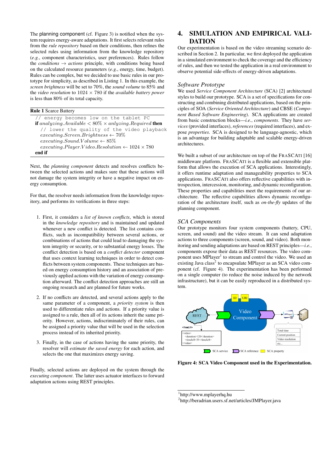The planning component (cf. Figure 3) is notified when the system requires energy-aware adaptations. It first selects relevant rules from the *rule repository* based on their conditions, then refines the selected rules using information from the knowledge repository (*e.g.*, component characteristics, user preferences). Rules follow the *conditions* → *actions* principle, with conditions being based on the calculated resource parameters (*e.g.*, energy, time, budget). Rules can be complex, but we decided to use basic rules in our prototype for simplicity, as described in Listing 1. In this example, the *screen brightness* will be set to 70%, the *sound volume* to 85% and the *video resolution* to 1024 × 780 if the *available battery power* is less than 80% of its total capacity.

| <b>Rule 1 Scarce Battery</b>                                                                |
|---------------------------------------------------------------------------------------------|
| // energy becomes low on the tablet PC                                                      |
| <b>if</b> analyzing. Available $\langle 80\% \times \text{anlyzing}$ . Required <b>then</b> |
| // lower the quality of the video playback                                                  |
| $executing. Screen. Brightness \leftarrow 70\%$                                             |
| $executing.Sound.Volume \leftarrow 85\%$                                                    |
| $execution, Player. Video. Resolution \leftarrow 1024 \times 780$                           |
| end if                                                                                      |

Next, the *planning component* detects and resolves conflicts between the selected actions and makes sure that these actions will not damage the system integrity or have a negative impact on energy consumption.

For that, the resolver needs information from the knowledge repository, and performs its verifications in three steps:

- 1. First, it considers a *list of known conflicts*, which is stored in the *knowledge repository* and is maintained and updated whenever a new conflict is detected. The list contains conflicts, such as incompatibility between several actions, or combinations of actions that could lead to damaging the system integrity or security, or to substantial energy losses. The conflict detection is based on a *conflict detector* component that uses context learning techniques in order to detect conflicts between system components. These techniques are based on energy consumption history and an association of previously applied actions with the variation of energy consumption afterward. The conflict detection approaches are still an ongoing research and are planned for future works.
- 2. If no conflicts are detected, and several actions apply to the same parameter of a component, a *priority system* is then used to differentiate rules and actions. If a priority value is assigned to a rule, then all of its actions inherit the same priority. However, actions, indiscriminately of their rules, can be assigned a priority value that will be used in the selection process instead of its inherited priority.
- 3. Finally, in the case of actions having the same priority, the resolver will *estimate the saved energy* for each action, and selects the one that maximizes energy saving.

Finally, selected actions are deployed on the system through the *executing component*. The latter uses actuator interfaces to forward adaptation actions using REST principles.

## 4. SIMULATION AND EMPIRICAL VALI-DATION

Our experimentation is based on the video streaming scenario described in Section 2. In particular, we first deployed the application in a simulated environment to check the coverage and the efficiency of rules, and then we tested the application in a real environment to observe potential side-effects of energy-driven adaptations.

## *Software Prototype*

We used *Service Component Architecture* (SCA) [2] architectural styles to build our prototype. SCA is a set of specifications for constructing and combining distributed applications, based on the principles of SOA (*Service Oriented Architecture*) and CBSE (*Component Based Software Engineering*). SCA applications are created from basic construction blocks—*i.e.*, *components*. They have *services* (provided interfaces), *references* (required interfaces), and expose *properties*. SCA is designed to be language-agnostic, which is an advantage for building adaptable and scalable energy-driven architectures.

We built a subset of our architecture on top of the FRASCATI [16] middleware platform. FRASCATI is a flexible and extensible platform that allows the execution of SCA applications. Interestingly, it offers runtime adaptation and manageability properties to SCA applications. FRASCATI also offers reflective capabilities with introspection, intercession, monitoring, and dynamic reconfiguration. These properties and capabilities meet the requirements of our architecture. The reflective capabilities allows dynamic reconfiguration of the architecture itself, such as *on-the-fly* updates of the planning component.

### *SCA Components*

Our prototype monitors four system components (battery, CPU, screen, and sound) and the video stream. It can send adaptation actions to three components (screen, sound, and video). Both monitoring and sending adaptations are based on REST principles—*i.e.*, components expose their data as REST resources. The video component uses MPlayer<sup>1</sup> to stream and control the video. We used an existing Java class<sup>2</sup> to encapsulate MPlayer as an SCA video component (cf. Figure 4). The experimentation has been performed on a single computer (to reduce the noise induced by the network infrastructure), but it can be easily reproduced in a distributed system.



Figure 4: SCA Video Component used in the Experimentation.

<sup>1</sup> http://www.mplayerhq.hu

<sup>2</sup> http://beradrian.users.sf.net/articles/JMPlayer.java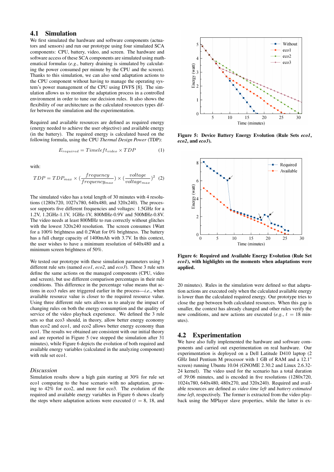## 4.1 Simulation

We first simulated the hardware and software components (actuators and sensors) and run our prototype using four simulated SCA components: CPU, battery, video, and screen. The hardware and software access of these SCA components are simulated using mathematical formulas (*e.g.*, battery draining is simulated by calculating the power consumed per minute by the CPU and the screen). Thanks to this simulation, we can also send adaptation actions to the CPU component without having to manage the operating system's power management of the CPU using DVFS [8]. The simulation allows us to monitor the adaptation process in a controlled environment in order to tune our decision rules. It also shows the flexibility of our architecture as the calculated resources types differ between the simulation and the experimentation.

Required and available resources are defined as required energy (energy needed to achieve the user objective) and available energy (in the battery). The required energy is calculated based on the following formula, using the CPU *Thermal Design Power* (TDP):

$$
E_{required} = Timeleft_{video} \times TDP \tag{1}
$$

with:

$$
TDP = TDP_{max} \times (\frac{frequency}{frequency_{max}}) \times (\frac{voltage}{voltage_{max}})^{2}
$$
 (2)

The simulated video has a total length of 30 minutes with 4 resolutions (1280x720, 1027x780, 640x480, and 320x240). The processor supports five different frequencies and voltages: 1.5GHz for a 1.2V, 1.2GHz-1.1V, 1GHz-1V, 800MHz-0.9V and 500MHz-0.8V. The video needs at least 800MHz to run correctly without glitches with the lowest 320x240 resolution. The screen consumes 1Watt for a 100% brightness and 0.2Watt for 0% brightness. The battery has a full charge capacity of 1400mAh with 3.7V. In this context, the user wishes to have a minimum resolution of 640x480 and a minimum screen brightness of 50%.

We tested our prototype with these simulation parameters using 3 different rule sets (named *eco1*, *eco2*, and *eco3*). These 3 rule sets define the same actions on the managed components (CPU, video and screen), but use different comparison percentages in their rule conditions. This difference in the percentage value means that actions in eco3 rules are triggered earlier in the process—*i.e.*, when available resource value is closer to the required resource value. Using three different rule sets allows us to analyze the impact of changing rules on both the energy consumption and the quality of service of the video playback experience. We defined the 3 rule sets so that eco3 should, in theory, allow better energy economy than eco2 and eco1, and eco2 allows better energy economy than eco1. The results we obtained are consistent with our initial theory and are reported in Figure 5 (we stopped the simulation after 31 minutes), while Figure 6 depicts the evolution of both required and available energy variables (calculated in the analyzing component) with rule set eco1.

#### *Discussion*

Simulation results show a high gain starting at 30% for rule set eco1 comparing to the base scenario with no adaptation, growing to 42% for eco2, and more for eco3. The evolution of the required and available energy variables in Figure 6 shows clearly the steps where adaptation actions were executed ( $t = 8$ , 18, and



Figure 5: Device Battery Energy Evolution (Rule Sets *eco1*, *eco2*, and *eco3*).



Figure 6: Required and Available Energy Evolution (Rule Set *eco1*), with highlights on the moments when adaptations were applied.

20 minutes). Rules in the simulation were defined so that adaptation actions are executed only when the calculated available energy is lower than the calculated required energy. Our prototype tries to close the gap between both calculated resources. When this gap is smaller, the context has already changed and other rules verify the new conditions, and new actions are executed (*e.g.*,  $t = 18$  minutes).

#### 4.2 Experimentation

We have also fully implemented the hardware and software components and carried out experimentation on real hardware. Our experimentation is deployed on a Dell Latitude D410 laptop (2 GHz Intel Pentium M processor with 1 GB of RAM and a 12.1" screen) running Ubuntu 10.04 (GNOME 2.30.2 and Linux 2.6.32- 24 kernel). The video used for the scenario has a total duration of 39:06 minutes, and is encoded in five resolutions (1280x720, 1024x780, 640x480, 480x270, and 320x240). Required and available resources are defined as *video time left* and *battery estimated time left*, respectively. The former is extracted from the video playback using the MPlayer slave properties, while the latter is ex-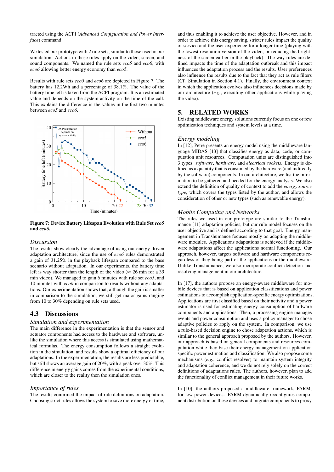tracted using the ACPI (*Advanced Configuration and Power Interface*) command.

We tested our prototype with 2 rule sets, similar to those used in our simulation. Actions in these rules apply on the video, screen, and sound components. We named the rule sets *eco5* and *eco6*, with *eco6* allowing better energy economy than *eco5*.

Results with rule sets *eco5* and *eco6* are depicted in Figure 7. The battery has 12.2Wh and a percentage of 38.1%. The value of the battery time left is taken from the ACPI program. It is an estimated value and depends on the system activity on the time of the call. This explains the difference in the values in the first two minutes between *eco5* and *eco6*.



Figure 7: Device Battery Lifespan Evolution with Rule Set *eco5* and *eco6*.

#### *Discussion*

The results show clearly the advantage of using our energy-driven adaptation architecture, since the use of *eco6* rules demonstrated a gain of 31.25% in the playback lifespan compared to the base scenario without adaptation. In our experiments, the battery time left is way shorter than the length of the video ( $\approx$  26 min for a 39 min video). We managed to gain 6 minutes with rule set *eco5*, and 10 minutes with *eco6* in comparison to results without any adaptations. Our experimentation shows that, although the gain is smaller in comparison to the simulation, we still get major gains ranging from 10 to 30% depending on rule sets used.

### 4.3 Discussions

#### *Simulation and experimentation*

The main difference in the experimentation is that the sensor and actuator components had access to the hardware and software, unlike the simulation where this access is simulated using mathematical formulas. The energy consumption follows a straight evolution in the simulation, and results show a optimal efficiency of our adaptations. In the experimentation, the results are less predictable, but still shows an average gain of 20%, with a peak over 30%. This difference in energy gains comes from the experimental conditions, which are closer to the reality then the simulation ones.

#### *Importance of rules*

The results confirmed the impact of rule definitions on adaptation. Choosing strict rules allows the system to save more energy or time,

and thus enabling it to achieve the user objective. However, and in order to achieve this energy saving, stricter rules impact the quality of service and the user experience for a longer time (playing with the lowest resolution version of the video, or reducing the brightness of the screen earlier in the playback). The way rules are defined impacts the time of the adaptation outbreak and this impact influences the adaptation process and the results. User preferences also influence the results due to the fact that they act as rule filters (Cf. Simulation in Section 4.1). Finally, the environment context in which the application evolves also influences decisions made by our architecture (*e.g.*, executing other applications while playing the video).

### 5. RELATED WORKS

Existing middleware energy solutions currently focus on one or few optimization techniques and system levels at a time.

#### *Energy modeling*

In [12], Petre presents an energy model using the middleware language MIDAS [13] that classifies energy as data, code, or computation unit resources. Computation units are distinguished into 3 types: *software*, *hardware*, and *electrical sockets*. Energy is defined as a quantity that is consumed by the hardware (and indirectly by the software) components. In our architecture, we list the information to be gathered and needed for the energy analysis. We also extend the definition of quality of context to add the *energy source type*, which covers the types listed by the author, and allows the consideration of other or new types (such as renewable energy).

#### *Mobile Computing and Networks*

The rules we used in our prototype are similar to the Transhumance [11] adaptation policies, but our rule model focuses on the user objective and is defined according to that goal. Energy management in Transhumance focuses mostly on adapting the middleware modules. Applications adaptations is achieved if the middleware adaptations affect the applications normal functioning. Our approach, however, targets software and hardware components regardless of they being part of the applications or the middleware. Unlike Transhumance, we also incorporate conflict detection and resolving management in our architecture.

In [17], the authors propose an energy-aware middleware for mobile devices that is based on application classifications and power estimations to accomplish application-specific energy optimizations. Applications are first classified based on their activity and a power estimator is used for estimating energy consumption of hardware components and applications. Then, a processing engine manages events and power consumption and uses a policy manager to chose adaptive policies to apply on the system. In comparison, we use a rule-based decision engine to chose adaptation actions, which is similar to the general approach proposed by the authors. However, our approach is based on general components and resources computation while they base their energy management on application specific power estimation and classification. We also propose some mechanisms (*e.g.*, conflict resolver) to maintain system integrity and adaptation coherence, and we do not rely solely on the correct definitions of adaptations rules. The authors, however, plan to add the functionality of conflict management in their future works.

In [10], the authors proposed a middleware framework, PARM, for low-power devices. PARM dynamically reconfigures component distribution on these devices and migrate components to proxy